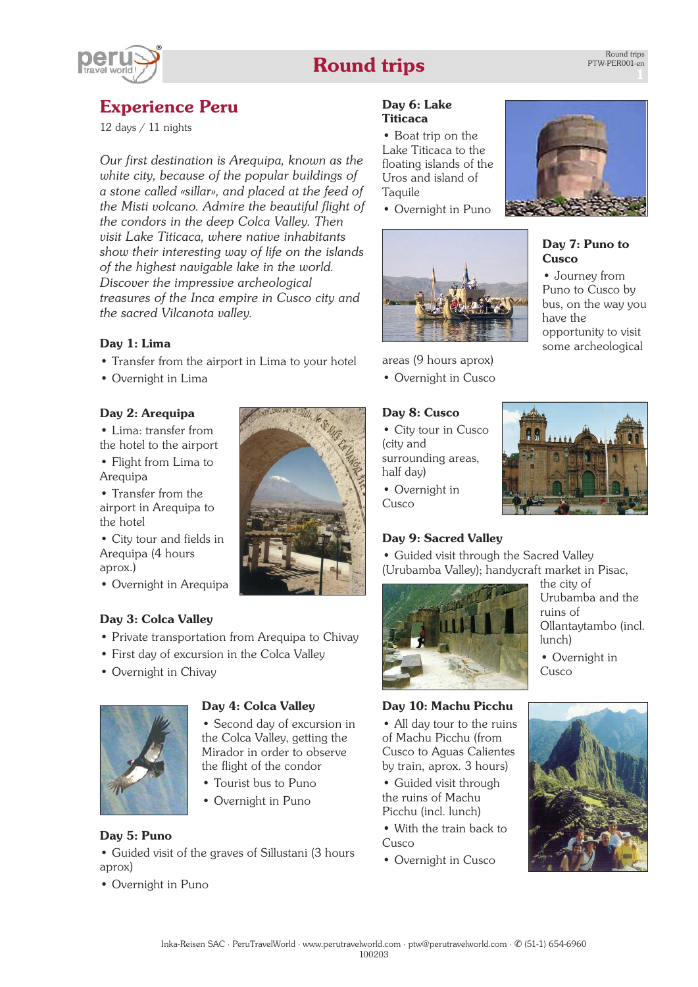# **Round trips**



# **Experience Peru**

12 days / 11 nights

*Our first destination is Arequipa, known as the white city, because of the popular buildings of a stone called «sillar», and placed at the feed of the Misti volcano. Admire the beautiful flight of the condors in the deep Colca Valley. Then visit Lake Titicaca, where native inhabitants show their interesting way of life on the islands of the highest navigable lake in the world. Discover the impressive archeological treasures of the Inca empire in Cusco city and the sacred Vilcanota valley.*

# **Day 1: Lima**

- Transfer from the airport in Lima to your hotel
- Overnight in Lima

# **Day 2: Arequipa**

• Lima: transfer from the hotel to the airport

• Flight from Lima to Arequipa

• Transfer from the airport in Arequipa to the hotel

• City tour and fields in Arequipa (4 hours aprox.)

• Overnight in Arequipa

# **Day 3: Colca Valley**

- Private transportation from Arequipa to Chivay
- First day of excursion in the Colca Valley
- Overnight in Chivay



# **Day 4: Colca Valley**

• Second day of excursion in the Colca Valley, getting the Mirador in order to observe the flight of the condor

- Tourist bus to Puno
- Overnight in Puno

# **Day 5: Puno**

• Guided visit of the graves of Sillustani (3 hours aprox)

• Overnight in Puno



#### **Day 6: Lake Titicaca**

• Boat trip on the Lake Titicaca to the floating islands of the Uros and island of **Taquile** 

• Overnight in Puno



areas (9 hours aprox)

• Overnight in Cusco

#### **Day 8: Cusco**

• City tour in Cusco (city and surrounding areas, half day)

• Overnight in Cusco

# **Day 9: Sacred Valley**

• Guided visit through the Sacred Valley (Urubamba Valley); handycraft market in Pisac,



the city of Urubamba and the ruins of Ollantaytambo (incl. lunch)

• Overnight in Cusco

# **Day 10: Machu Picchu**

• All day tour to the ruins of Machu Picchu (from Cusco to Aguas Calientes by train, aprox. 3 hours)

- Guided visit through the ruins of Machu Picchu (incl. lunch)
- With the train back to Cusco
- Overnight in Cusco





# **Day 7: Puno to Cusco**

• Journey from Puno to Cusco by bus, on the way you have the opportunity to visit some archeological